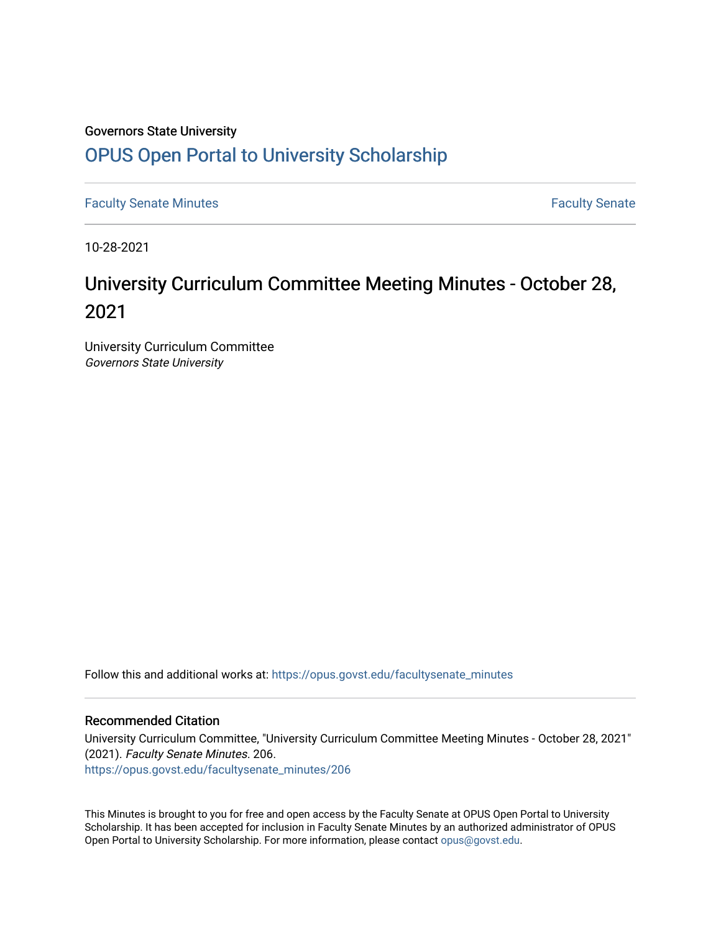# Governors State University [OPUS Open Portal to University Scholarship](https://opus.govst.edu/)

[Faculty Senate Minutes](https://opus.govst.edu/facultysenate_minutes) **Faculty** Senate Minutes

10-28-2021

# University Curriculum Committee Meeting Minutes - October 28, 2021

University Curriculum Committee Governors State University

Follow this and additional works at: [https://opus.govst.edu/facultysenate\\_minutes](https://opus.govst.edu/facultysenate_minutes?utm_source=opus.govst.edu%2Ffacultysenate_minutes%2F206&utm_medium=PDF&utm_campaign=PDFCoverPages) 

#### Recommended Citation

University Curriculum Committee, "University Curriculum Committee Meeting Minutes - October 28, 2021" (2021). Faculty Senate Minutes. 206. [https://opus.govst.edu/facultysenate\\_minutes/206](https://opus.govst.edu/facultysenate_minutes/206?utm_source=opus.govst.edu%2Ffacultysenate_minutes%2F206&utm_medium=PDF&utm_campaign=PDFCoverPages)

This Minutes is brought to you for free and open access by the Faculty Senate at OPUS Open Portal to University Scholarship. It has been accepted for inclusion in Faculty Senate Minutes by an authorized administrator of OPUS Open Portal to University Scholarship. For more information, please contact [opus@govst.edu.](mailto:opus@govst.edu)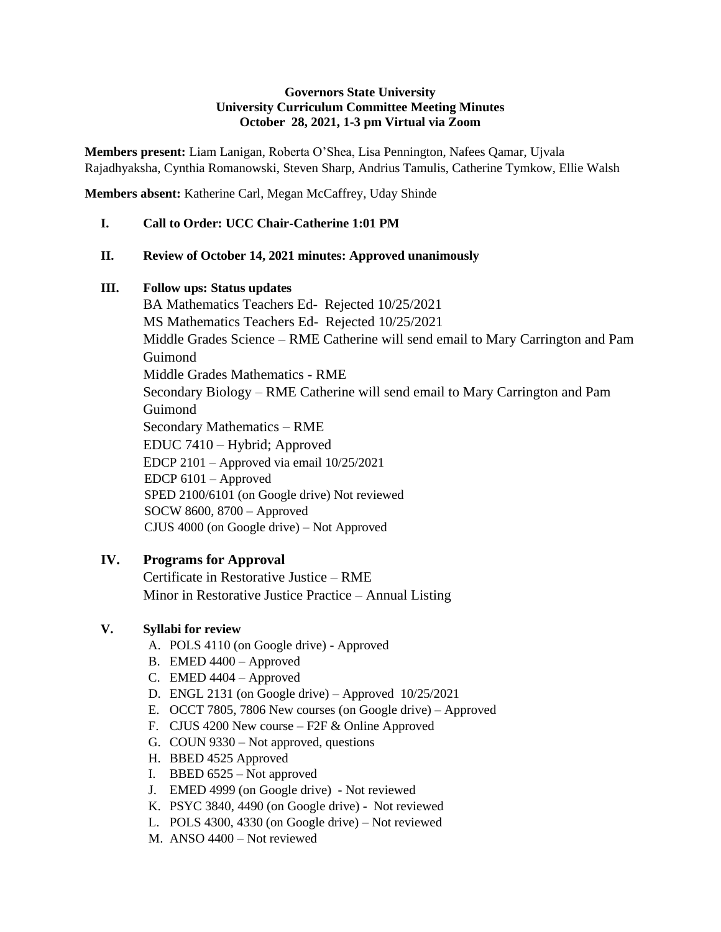#### **Governors State University University Curriculum Committee Meeting Minutes October 28, 2021, 1-3 pm Virtual via Zoom**

**Members present:** Liam Lanigan, Roberta O'Shea, Lisa Pennington, Nafees Qamar, Ujvala Rajadhyaksha, Cynthia Romanowski, Steven Sharp, Andrius Tamulis, Catherine Tymkow, Ellie Walsh

**Members absent:** Katherine Carl, Megan McCaffrey, Uday Shinde

**I. Call to Order: UCC Chair-Catherine 1:01 PM**

#### **II. Review of October 14, 2021 minutes: Approved unanimously**

#### **III. Follow ups: Status updates**

BA Mathematics Teachers Ed- Rejected 10/25/2021 MS Mathematics Teachers Ed- Rejected 10/25/2021 Middle Grades Science – RME Catherine will send email to Mary Carrington and Pam Guimond Middle Grades Mathematics - RME Secondary Biology – RME Catherine will send email to Mary Carrington and Pam Guimond Secondary Mathematics – RME EDUC 7410 – Hybrid; Approved EDCP 2101 – Approved via email 10/25/2021 EDCP 6101 – Approved SPED 2100/6101 (on Google drive) Not reviewed SOCW 8600, 8700 – Approved CJUS 4000 (on Google drive) – Not Approved

## **IV. Programs for Approval**

Certificate in Restorative Justice – RME Minor in Restorative Justice Practice – Annual Listing

## **V. Syllabi for review**

- A. POLS 4110 (on Google drive) Approved
- B. EMED 4400 Approved
- C. EMED 4404 Approved
- D. ENGL 2131 (on Google drive) Approved  $10/25/2021$
- E. OCCT 7805, 7806 New courses (on Google drive) Approved
- F. CJUS 4200 New course F2F & Online Approved
- G. COUN 9330 Not approved, questions
- H. BBED 4525 Approved
- I. BBED 6525 Not approved
- J. EMED 4999 (on Google drive) Not reviewed
- K. PSYC 3840, 4490 (on Google drive) Not reviewed
- L. POLS 4300, 4330 (on Google drive) Not reviewed
- M. ANSO 4400 Not reviewed